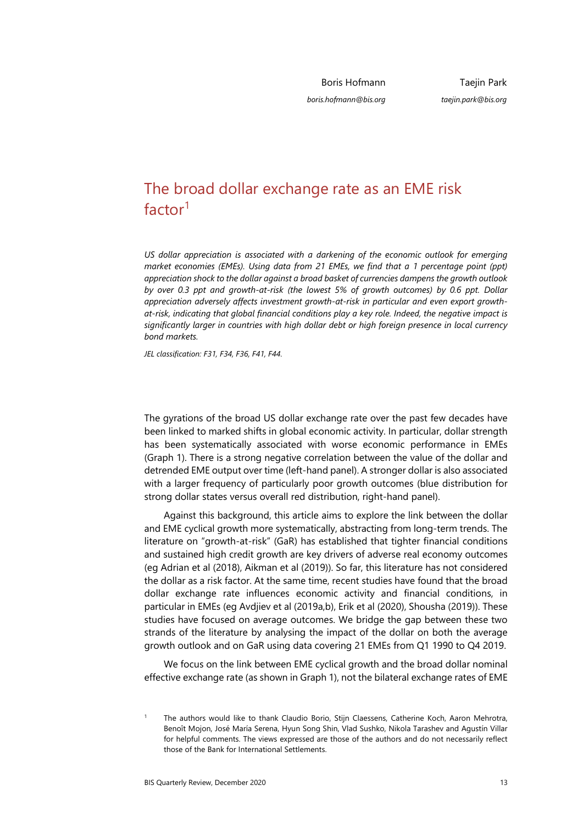Boris Hofmann

*boris.hofmann@bis.org*

Taejin Park *taejin.park@bis.org*

# The broad dollar exchange rate [a](#page-0-0)s an EME risk factor<sup>1</sup>

*US dollar appreciation is associated with a darkening of the economic outlook for emerging market economies (EMEs). Using data from 21 EMEs, we find that a 1 percentage point (ppt) appreciation shock to the dollar against a broad basket of currencies dampens the growth outlook by over 0.3 ppt and growth-at-risk (the lowest 5% of growth outcomes) by 0.6 ppt. Dollar appreciation adversely affects investment growth-at-risk in particular and even export growthat-risk, indicating that global financial conditions play a key role. Indeed, the negative impact is significantly larger in countries with high dollar debt or high foreign presence in local currency bond markets.* 

*JEL classification: F31, F34, F36, F41, F44*.

The gyrations of the broad US dollar exchange rate over the past few decades have been linked to marked shifts in global economic activity. In particular, dollar strength has been systematically associated with worse economic performance in EMEs (Graph 1). There is a strong negative correlation between the value of the dollar and detrended EME output over time (left-hand panel). A stronger dollar is also associated with a larger frequency of particularly poor growth outcomes (blue distribution for strong dollar states versus overall red distribution, right-hand panel).

Against this background, this article aims to explore the link between the dollar and EME cyclical growth more systematically, abstracting from long-term trends. The literature on "growth-at-risk" (GaR) has established that tighter financial conditions and sustained high credit growth are key drivers of adverse real economy outcomes (eg Adrian et al (2018), Aikman et al (2019)). So far, this literature has not considered the dollar as a risk factor. At the same time, recent studies have found that the broad dollar exchange rate influences economic activity and financial conditions, in particular in EMEs (eg Avdjiev et al (2019a,b), Erik et al (2020), Shousha (2019)). These studies have focused on average outcomes. We bridge the gap between these two strands of the literature by analysing the impact of the dollar on both the average growth outlook and on GaR using data covering 21 EMEs from Q1 1990 to Q4 2019.

We focus on the link between EME cyclical growth and the broad dollar nominal effective exchange rate (as shown in Graph 1), not the bilateral exchange rates of EME

<span id="page-0-0"></span><sup>1</sup> The authors would like to thank Claudio Borio, Stijn Claessens, Catherine Koch, Aaron Mehrotra, Benoît Mojon, José María Serena, Hyun Song Shin, Vlad Sushko, Nikola Tarashev and Agustín Villar for helpful comments. The views expressed are those of the authors and do not necessarily reflect those of the Bank for International Settlements.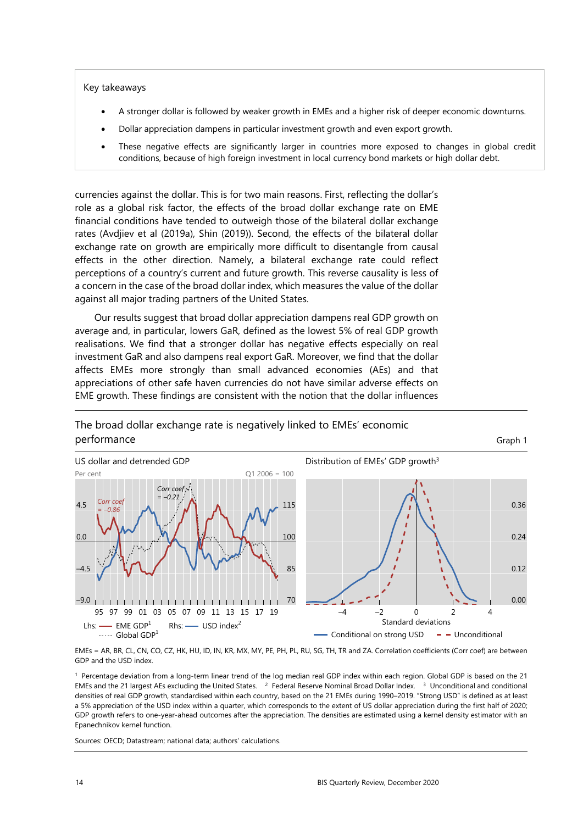#### Key takeaways

- A stronger dollar is followed by weaker growth in EMEs and a higher risk of deeper economic downturns.
- Dollar appreciation dampens in particular investment growth and even export growth.
- These negative effects are significantly larger in countries more exposed to changes in global credit conditions, because of high foreign investment in local currency bond markets or high dollar debt.

currencies against the dollar. This is for two main reasons. First, reflecting the dollar's role as a global risk factor, the effects of the broad dollar exchange rate on EME financial conditions have tended to outweigh those of the bilateral dollar exchange rates (Avdjiev et al (2019a), Shin (2019)). Second, the effects of the bilateral dollar exchange rate on growth are empirically more difficult to disentangle from causal effects in the other direction. Namely, a bilateral exchange rate could reflect perceptions of a country's current and future growth. This reverse causality is less of a concern in the case of the broad dollar index, which measures the value of the dollar against all major trading partners of the United States.

Our results suggest that broad dollar appreciation dampens real GDP growth on average and, in particular, lowers GaR, defined as the lowest 5% of real GDP growth realisations. We find that a stronger dollar has negative effects especially on real investment GaR and also dampens real export GaR. Moreover, we find that the dollar affects EMEs more strongly than small advanced economies (AEs) and that appreciations of other safe haven currencies do not have similar adverse effects on EME growth. These findings are consistent with the notion that the dollar influences



### The broad dollar exchange rate is negatively linked to EMEs' economic **performance** Graph 1

EMEs = AR, BR, CL, CN, CO, CZ, HK, HU, ID, IN, KR, MX, MY, PE, PH, PL, RU, SG, TH, TR and ZA. Correlation coefficients (Corr coef) are between GDP and the USD index.

1 Percentage deviation from a long-term linear trend of the log median real GDP index within each region. Global GDP is based on the 21 EMEs and the 21 largest AEs excluding the United States. 2 Federal Reserve Nominal Broad Dollar Index. 3 Unconditional and conditional densities of real GDP growth, standardised within each country, based on the 21 EMEs during 1990–2019. "Strong USD" is defined as at least a 5% appreciation of the USD index within a quarter, which corresponds to the extent of US dollar appreciation during the first half of 2020; GDP growth refers to one-year-ahead outcomes after the appreciation. The densities are estimated using a kernel density estimator with an Epanechnikov kernel function.

Sources: OECD; Datastream; national data; authors' calculations.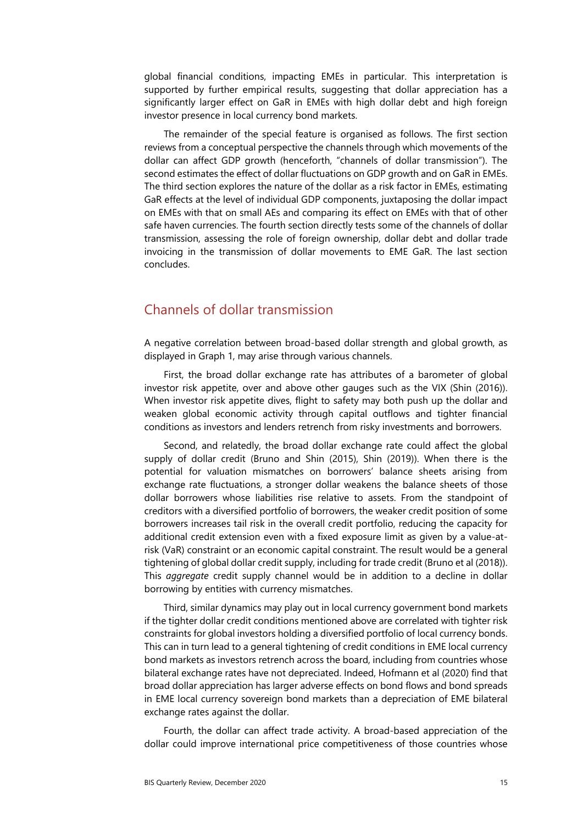global financial conditions, impacting EMEs in particular. This interpretation is supported by further empirical results, suggesting that dollar appreciation has a significantly larger effect on GaR in EMEs with high dollar debt and high foreign investor presence in local currency bond markets.

The remainder of the special feature is organised as follows. The first section reviews from a conceptual perspective the channels through which movements of the dollar can affect GDP growth (henceforth, "channels of dollar transmission"). The second estimates the effect of dollar fluctuations on GDP growth and on GaR in EMEs. The third section explores the nature of the dollar as a risk factor in EMEs, estimating GaR effects at the level of individual GDP components, juxtaposing the dollar impact on EMEs with that on small AEs and comparing its effect on EMEs with that of other safe haven currencies. The fourth section directly tests some of the channels of dollar transmission, assessing the role of foreign ownership, dollar debt and dollar trade invoicing in the transmission of dollar movements to EME GaR. The last section concludes.

## Channels of dollar transmission

A negative correlation between broad-based dollar strength and global growth, as displayed in Graph 1, may arise through various channels.

First, the broad dollar exchange rate has attributes of a barometer of global investor risk appetite, over and above other gauges such as the VIX (Shin (2016)). When investor risk appetite dives, flight to safety may both push up the dollar and weaken global economic activity through capital outflows and tighter financial conditions as investors and lenders retrench from risky investments and borrowers.

Second, and relatedly, the broad dollar exchange rate could affect the global supply of dollar credit (Bruno and Shin (2015), Shin (2019)). When there is the potential for valuation mismatches on borrowers' balance sheets arising from exchange rate fluctuations, a stronger dollar weakens the balance sheets of those dollar borrowers whose liabilities rise relative to assets. From the standpoint of creditors with a diversified portfolio of borrowers, the weaker credit position of some borrowers increases tail risk in the overall credit portfolio, reducing the capacity for additional credit extension even with a fixed exposure limit as given by a value-atrisk (VaR) constraint or an economic capital constraint. The result would be a general tightening of global dollar credit supply, including for trade credit (Bruno et al (2018)). This *aggregate* credit supply channel would be in addition to a decline in dollar borrowing by entities with currency mismatches.

Third, similar dynamics may play out in local currency government bond markets if the tighter dollar credit conditions mentioned above are correlated with tighter risk constraints for global investors holding a diversified portfolio of local currency bonds. This can in turn lead to a general tightening of credit conditions in EME local currency bond markets as investors retrench across the board, including from countries whose bilateral exchange rates have not depreciated. Indeed, Hofmann et al (2020) find that broad dollar appreciation has larger adverse effects on bond flows and bond spreads in EME local currency sovereign bond markets than a depreciation of EME bilateral exchange rates against the dollar.

Fourth, the dollar can affect trade activity. A broad-based appreciation of the dollar could improve international price competitiveness of those countries whose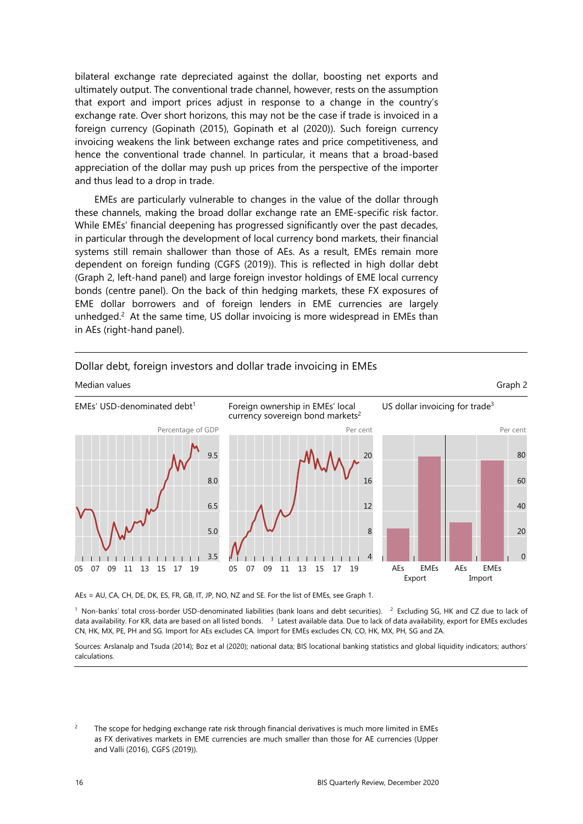bilateral exchange rate depreciated against the dollar, boosting net exports and ultimately output. The conventional trade channel, however, rests on the assumption that export and import prices adjust in response to a change in the country's exchange rate. Over short horizons, this may not be the case if trade is invoiced in a foreign currency (Gopinath (2015), Gopinath et al (2020)). Such foreign currency invoicing weakens the link between exchange rates and price competitiveness, and hence the conventional trade channel. In particular, it means that a broad-based appreciation of the dollar may push up prices from the perspective of the importer and thus lead to a drop in trade.

EMEs are particularly vulnerable to changes in the value of the dollar through these channels, making the broad dollar exchange rate an EME-specific risk factor. While EMEs' financial deepening has progressed significantly over the past decades, in particular through the development of local currency bond markets, their financial systems still remain shallower than those of AEs. As a result, EMEs remain more dependent on foreign funding (CGFS (2019)). This is reflected in high dollar debt (Graph 2, left-hand panel) and large foreign investor holdin[gs](#page-3-0) of EME local currency bonds (centre panel). On the back of thin hedging markets, these FX exposures of EME dollar borrowers and of foreign lenders in EME currencies are largely unhedged.<sup>2</sup> At the same time, US dollar invoicing is more widespread in EMEs than in AEs (right-hand panel).



### Dollar debt, foreign investors and dollar trade invoicing in EMEs

AEs = AU, CA, CH, DE, DK, ES, FR, GB, IT, JP, NO, NZ and SE. For the list of EMEs, see Graph 1.

 $1$  Non-banks' total cross-border USD-denominated liabilities (bank loans and debt securities).  $2$  Excluding SG, HK and CZ due to lack of data availability. For KR, data are based on all listed bonds. <sup>3</sup> Latest available data. Due to lack of data availability, export for EMEs excludes CN, HK, MX, PE, PH and SG. Import for AEs excludes CA. Import for EMEs excludes CN, CO, HK, MX, PH, SG and ZA.

Sources: Arslanalp and Tsuda (2014); Boz et al (2020); national data; BIS locational banking statistics and global liquidity indicators; authors' calculations.

<span id="page-3-0"></span> $\overline{2}$  The scope for hedging exchange rate risk through financial derivatives is much more limited in EMEs as FX derivatives markets in EME currencies are much smaller than those for AE currencies (Upper and Valli (2016), CGFS (2019)).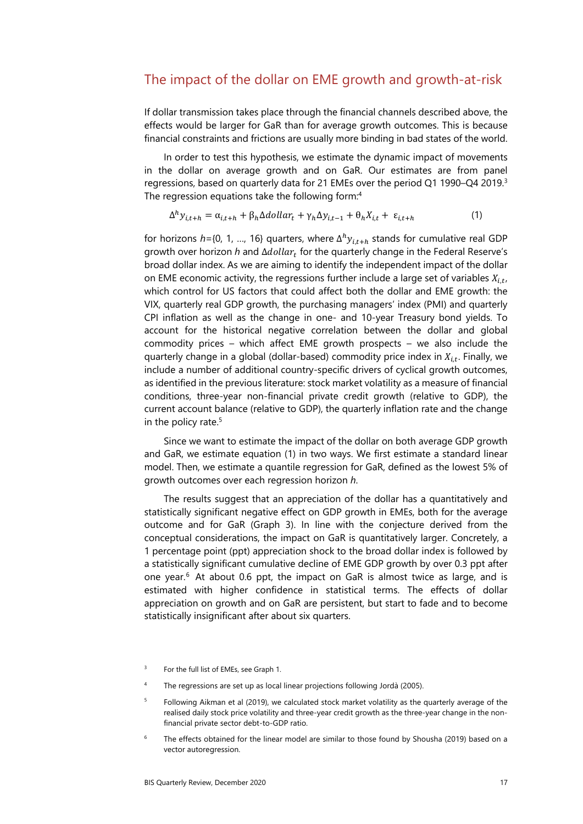### The impact of the dollar on EME growth and growth-at-risk

If dollar transmission takes place through the financial channels described above, the effects would be larger for GaR than for average growth outcomes. This is because financial constraints and frictions are usually more binding in bad states of the world.

In order to test this hypothesis, we estimate the dynamic impact of movements in the dollar on average growth and on GaR. Our estimates are from panel regressions, based on quarterly data for 21 EMEs over the period Q1 1990–Q4 2019[.3](#page-4-3) The regression equations take the following form:[4](#page-4-2)

$$
\Delta^h y_{i,t+h} = \alpha_{i,t+h} + \beta_h \Delta dollar_t + \gamma_h \Delta y_{i,t-1} + \theta_h X_{i,t} + \varepsilon_{i,t+h}
$$
\n(1)

for horizons  $h$ ={0, 1, ..., 16} quarters, where  $\Delta^h y_{i,t+h}$  stands for cumulative real GDP growth over horizon *h* and ∆*dollar<sub>t</sub>* for the quarterly change in the Federal Reserve's broad dollar index. As we are aiming to identify the independent impact of the dollar on EME economic activity, the regressions further include a large set of variables  $X_{i,t}$ , which control for US factors that could affect both the dollar and EME growth: the VIX, quarterly real GDP growth, the purchasing managers' index (PMI) and quarterly CPI inflation as well as the change in one- and 10-year Treasury bond yields. To account for the historical negative correlation between the dollar and global commodity prices – which affect EME growth prospects – we also include the quarterly change in a global (dollar-based) commodity price index in  $X_{i}$ . Finally, we include a number of additional country-specific drivers of cyclical growth outcomes, as identified in the previous literature: stock market volatility as a measure of financial conditions, three-year non-financial private credit growth (relative to GDP), the current account balance (relative to GDP), the quarterly inflation rate and the change in the policy rate.<sup>5</sup>

Since we want to estimate the impact of the dollar on both average GDP growth and GaR, we estimate equation (1) in two ways. We first estimate a standard linear model. Then, we estimate a quantile regression for GaR, defined as the lowest 5% of growth outcomes over each regression horizon *h*.

The results suggest that an appreciation of the dollar has a quantitatively and statistically significant negative effect on GDP growth in EMEs, both for the average outcome and for GaR (Graph 3). In line with the conjecture derived from the conceptual considerations, the impact on GaR is quantitatively larger. Concretely, a 1 percentage point (ppt) appreciation shock to the broad dollar index is followed by a statistically significant cumulative decline of EME GDP growth by over 0.3 ppt after one year.<sup>[6](#page-4-0)</sup> At about 0.6 ppt, the impact on GaR is almost twice as large, and is estimated with higher confidence in statistical terms. The effects of dollar appreciation on growth and on GaR are persistent, but start to fade and to become statistically insignificant after about six quarters.

<span id="page-4-3"></span><sup>3</sup> For the full list of EMEs, see Graph 1.

<span id="page-4-2"></span><sup>4</sup> The regressions are set up as local linear projections following Jordà (2005).

<span id="page-4-1"></span><sup>5</sup> Following Aikman et al (2019), we calculated stock market volatility as the quarterly average of the realised daily stock price volatility and three-year credit growth as the three-year change in the nonfinancial private sector debt-to-GDP ratio.

<span id="page-4-0"></span><sup>6</sup> The effects obtained for the linear model are similar to those found by Shousha (2019) based on a vector autoregression.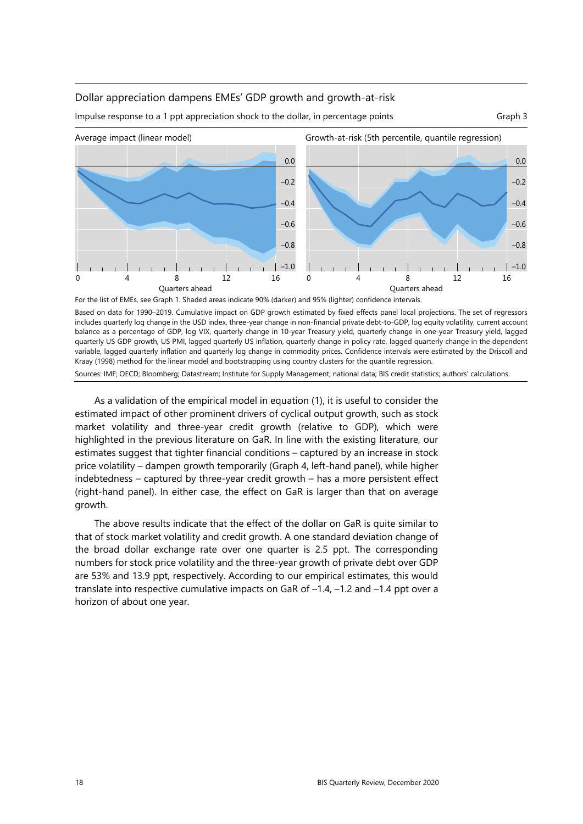### Dollar appreciation dampens EMEs' GDP growth and growth-at-risk

Impulse response to a 1 ppt appreciation shock to the dollar, in percentage points Graph 3



Based on data for 1990–2019. Cumulative impact on GDP growth estimated by fixed effects panel local projections. The set of regressors includes quarterly log change in the USD index, three-year change in non-financial private debt-to-GDP, log equity volatility, current account balance as a percentage of GDP, log VIX, quarterly change in 10-year Treasury yield, quarterly change in one-year Treasury yield, lagged quarterly US GDP growth, US PMI, lagged quarterly US inflation, quarterly change in policy rate, lagged quarterly change in the dependent variable, lagged quarterly inflation and quarterly log change in commodity prices. Confidence intervals were estimated by the Driscoll and Kraay (1998) method for the linear model and bootstrapping using country clusters for the quantile regression. Sources: IMF; OECD; Bloomberg; Datastream; Institute for Supply Management; national data; BIS credit statistics; authors' calculations.

As a validation of the empirical model in equation (1), it is useful to consider the estimated impact of other prominent drivers of cyclical output growth, such as stock market volatility and three-year credit growth (relative to GDP), which were highlighted in the previous literature on GaR. In line with the existing literature, our estimates suggest that tighter financial conditions – captured by an increase in stock price volatility – dampen growth temporarily (Graph 4, left-hand panel), while higher indebtedness – captured by three-year credit growth – has a more persistent effect (right-hand panel). In either case, the effect on GaR is larger than that on average growth.

The above results indicate that the effect of the dollar on GaR is quite similar to that of stock market volatility and credit growth. A one standard deviation change of the broad dollar exchange rate over one quarter is 2.5 ppt. The corresponding numbers for stock price volatility and the three-year growth of private debt over GDP are 53% and 13.9 ppt, respectively. According to our empirical estimates, this would translate into respective cumulative impacts on GaR of –1.4, –1.2 and –1.4 ppt over a horizon of about one year.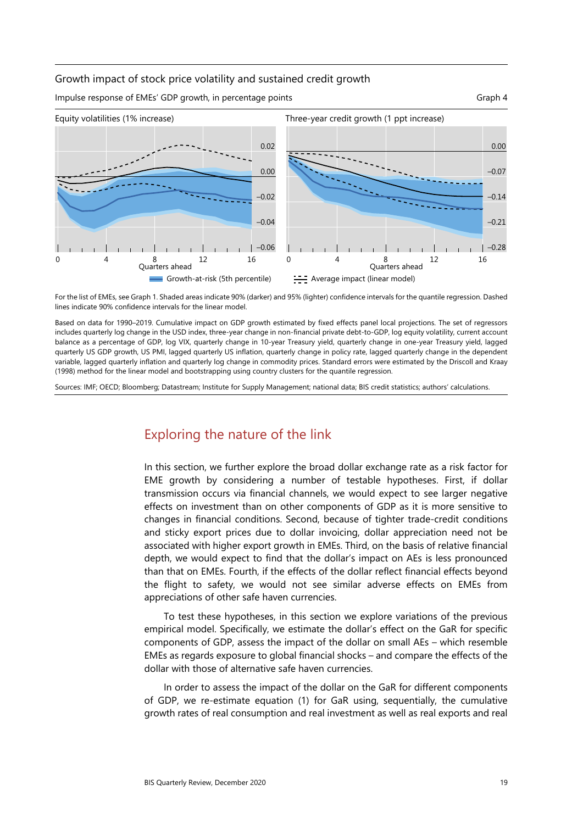### Growth impact of stock price volatility and sustained credit growth

Impulse response of EMEs' GDP growth, in percentage points Graph 4



For the list of EMEs, see Graph 1. Shaded areas indicate 90% (darker) and 95% (lighter) confidence intervals for the quantile regression. Dashed lines indicate 90% confidence intervals for the linear model.

Based on data for 1990–2019. Cumulative impact on GDP growth estimated by fixed effects panel local projections. The set of regressors includes quarterly log change in the USD index, three-year change in non-financial private debt-to-GDP, log equity volatility, current account balance as a percentage of GDP, log VIX, quarterly change in 10-year Treasury yield, quarterly change in one-year Treasury yield, lagged quarterly US GDP growth, US PMI, lagged quarterly US inflation, quarterly change in policy rate, lagged quarterly change in the dependent variable, lagged quarterly inflation and quarterly log change in commodity prices. Standard errors were estimated by the Driscoll and Kraay (1998) method for the linear model and bootstrapping using country clusters for the quantile regression.

Sources: IMF; OECD; Bloomberg; Datastream; Institute for Supply Management; national data; BIS credit statistics; authors' calculations.

## Exploring the nature of the link

In this section, we further explore the broad dollar exchange rate as a risk factor for EME growth by considering a number of testable hypotheses. First, if dollar transmission occurs via financial channels, we would expect to see larger negative effects on investment than on other components of GDP as it is more sensitive to changes in financial conditions. Second, because of tighter trade-credit conditions and sticky export prices due to dollar invoicing, dollar appreciation need not be associated with higher export growth in EMEs. Third, on the basis of relative financial depth, we would expect to find that the dollar's impact on AEs is less pronounced than that on EMEs. Fourth, if the effects of the dollar reflect financial effects beyond the flight to safety, we would not see similar adverse effects on EMEs from appreciations of other safe haven currencies.

To test these hypotheses, in this section we explore variations of the previous empirical model. Specifically, we estimate the dollar's effect on the GaR for specific components of GDP, assess the impact of the dollar on small AEs – which resemble EMEs as regards exposure to global financial shocks – and compare the effects of the dollar with those of alternative safe haven currencies.

In order to assess the impact of the dollar on the GaR for different components of GDP, we re-estimate equation (1) for GaR using, sequentially, the cumulative growth rates of real consumption and real investment as well as real exports and real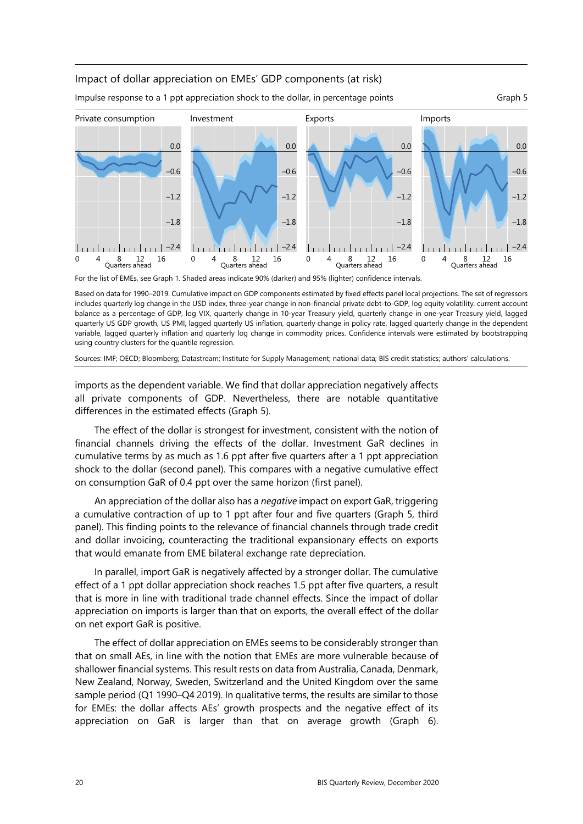### Impact of dollar appreciation on EMEs' GDP components (at risk)

Impulse response to a 1 ppt appreciation shock to the dollar, in percentage points Graph 5



For the list of EMEs, see Graph 1. Shaded areas indicate 90% (darker) and 95% (lighter) confidence intervals.

Based on data for 1990–2019. Cumulative impact on GDP components estimated by fixed effects panel local projections. The set of regressors includes quarterly log change in the USD index, three-year change in non-financial private debt-to-GDP, log equity volatility, current account balance as a percentage of GDP, log VIX, quarterly change in 10-year Treasury yield, quarterly change in one-year Treasury yield, lagged quarterly US GDP growth, US PMI, lagged quarterly US inflation, quarterly change in policy rate, lagged quarterly change in the dependent variable, lagged quarterly inflation and quarterly log change in commodity prices. Confidence intervals were estimated by bootstrapping using country clusters for the quantile regression.

Sources: IMF; OECD; Bloomberg; Datastream; Institute for Supply Management; national data; BIS credit statistics; authors' calculations.

imports as the dependent variable. We find that dollar appreciation negatively affects all private components of GDP. Nevertheless, there are notable quantitative differences in the estimated effects (Graph 5).

The effect of the dollar is strongest for investment, consistent with the notion of financial channels driving the effects of the dollar. Investment GaR declines in cumulative terms by as much as 1.6 ppt after five quarters after a 1 ppt appreciation shock to the dollar (second panel). This compares with a negative cumulative effect on consumption GaR of 0.4 ppt over the same horizon (first panel).

An appreciation of the dollar also has a *negative* impact on export GaR, triggering a cumulative contraction of up to 1 ppt after four and five quarters (Graph 5, third panel). This finding points to the relevance of financial channels through trade credit and dollar invoicing, counteracting the traditional expansionary effects on exports that would emanate from EME bilateral exchange rate depreciation.

In parallel, import GaR is negatively affected by a stronger dollar. The cumulative effect of a 1 ppt dollar appreciation shock reaches 1.5 ppt after five quarters, a result that is more in line with traditional trade channel effects. Since the impact of dollar appreciation on imports is larger than that on exports, the overall effect of the dollar on net export GaR is positive.

The effect of dollar appreciation on EMEs seems to be considerably stronger than that on small AEs, in line with the notion that EMEs are more vulnerable because of shallower financial systems. This result rests on data from Australia, Canada, Denmark, New Zealand, Norway, Sweden, Switzerland and the United Kingdom over the same sample period (Q1 1990–Q4 2019). In qualitative terms, the results are similar to those for EMEs: the dollar affects AEs' growth prospects and the negative effect of its appreciation on GaR is larger than that on average growth (Graph 6).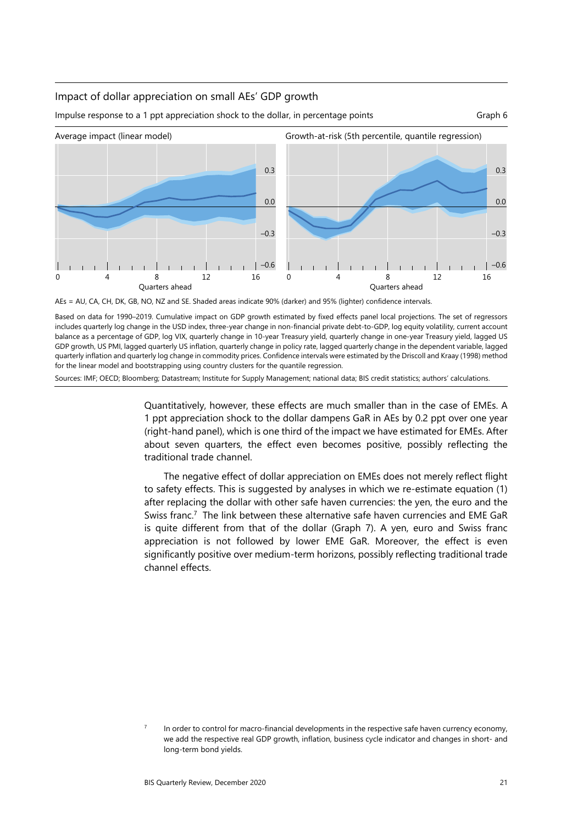### Impact of dollar appreciation on small AEs' GDP growth



Impulse response to a 1 ppt appreciation shock to the dollar, in percentage points Graph 6

AEs = AU, CA, CH, DK, GB, NO, NZ and SE. Shaded areas indicate 90% (darker) and 95% (lighter) confidence intervals.

Based on data for 1990–2019. Cumulative impact on GDP growth estimated by fixed effects panel local projections. The set of regressors includes quarterly log change in the USD index, three-year change in non-financial private debt-to-GDP, log equity volatility, current account balance as a percentage of GDP, log VIX, quarterly change in 10-year Treasury yield, quarterly change in one-year Treasury yield, lagged US GDP growth, US PMI, lagged quarterly US inflation, quarterly change in policy rate, lagged quarterly change in the dependent variable, lagged quarterly inflation and quarterly log change in commodity prices. Confidence intervals were estimated by the Driscoll and Kraay (1998) method for the linear model and bootstrapping using country clusters for the quantile regression.

Sources: IMF; OECD; Bloomberg; Datastream; Institute for Supply Management; national data; BIS credit statistics; authors' calculations.

Quantitatively, however, these effects are much smaller than in the case of EMEs. A 1 ppt appreciation shock to the dollar dampens GaR in AEs by 0.2 ppt over one year (right-hand panel), which is one third of the impact we have estimated for EMEs. After about seven quarters, the effect even becomes positive, possibly reflecting the traditional trade channel.

The negative effect of dollar appreciation on EMEs does not merely reflect flight to safety effects. This is suggested by analyses in which we re-estimate equation (1) after replacing the dollar with other safe haven currencies: the yen, the euro and the Swiss franc.<sup>7</sup> The link between these alternative safe haven currencies and EME GaR is quite different from that of the dollar (Graph 7). A yen, euro and Swiss franc appreciation is not followed by lower EME GaR. Moreover, the effect is even significantly positive over medium-term horizons, possibly reflecting traditional trade channel effects.

<span id="page-8-0"></span><sup>7</sup> In order to control for macro-financial developments in the respective safe haven currency economy, we add the respective real GDP growth, inflation, business cycle indicator and changes in short- and long-term bond yields.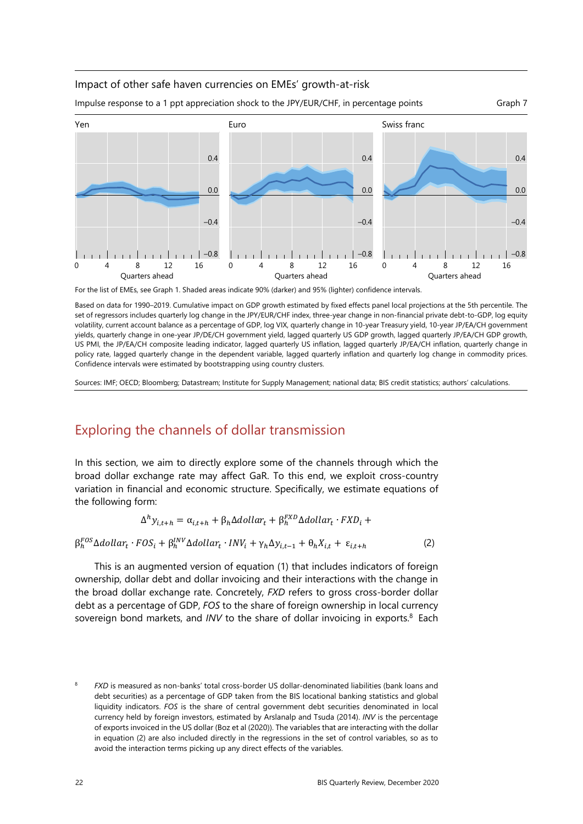### Impact of other safe haven currencies on EMEs' growth-at-risk



Impulse response to a 1 ppt appreciation shock to the JPY/EUR/CHF, in percentage points Graph 7

![](_page_9_Figure_3.jpeg)

Based on data for 1990–2019. Cumulative impact on GDP growth estimated by fixed effects panel local projections at the 5th percentile. The set of regressors includes quarterly log change in the JPY/EUR/CHF index, three-year change in non-financial private debt-to-GDP, log equity volatility, current account balance as a percentage of GDP, log VIX, quarterly change in 10-year Treasury yield, 10-year JP/EA/CH government yields, quarterly change in one-year JP/DE/CH government yield, lagged quarterly US GDP growth, lagged quarterly JP/EA/CH GDP growth, US PMI, the JP/EA/CH composite leading indicator, lagged quarterly US inflation, lagged quarterly JP/EA/CH inflation, quarterly change in policy rate, lagged quarterly change in the dependent variable, lagged quarterly inflation and quarterly log change in commodity prices. Confidence intervals were estimated by bootstrapping using country clusters.

Sources: IMF; OECD; Bloomberg; Datastream; Institute for Supply Management; national data; BIS credit statistics; authors' calculations.

## Exploring the channels of dollar transmission

In this section, we aim to directly explore some of the channels through which the broad dollar exchange rate may affect GaR. To this end, we exploit cross-country variation in financial and economic structure. Specifically, we estimate equations of the following form:

$$
\Delta^h y_{i,t+h} = \alpha_{i,t+h} + \beta_h \Delta dollar_t + \beta_h^{FXD} \Delta dollar_t \cdot FXD_i +
$$

$$
\beta_h^{FOS} \Delta dollar_t \cdot FOS_i + \beta_h^{INV} \Delta dollar_t \cdot INV_i + \gamma_h \Delta y_{i,t-1} + \theta_h X_{i,t} + \varepsilon_{i,t+h}
$$
 (2)

This is an augmented version of equation (1) that includes indicators of foreign ownership, dollar debt and dollar invoicing and their interactions with the change in the broad dollar exchange rate. Concretely, *FXD* refers to gross cross-border dollar debt as a percentage of GDP, *FOS* to the share of foreign ownership in local c[ur](#page-9-0)rency sovereign bond markets, and *INV* to the share of dollar invoicing in exports.<sup>8</sup> Each

<span id="page-9-0"></span><sup>8</sup> *FXD* is measured as non-banks' total cross-border US dollar-denominated liabilities (bank loans and debt securities) as a percentage of GDP taken from the BIS locational banking statistics and global liquidity indicators. *FOS* is the share of central government debt securities denominated in local currency held by foreign investors, estimated by Arslanalp and Tsuda (2014). *INV* is the percentage of exports invoiced in the US dollar (Boz et al (2020)). The variables that are interacting with the dollar in equation (2) are also included directly in the regressions in the set of control variables, so as to avoid the interaction terms picking up any direct effects of the variables.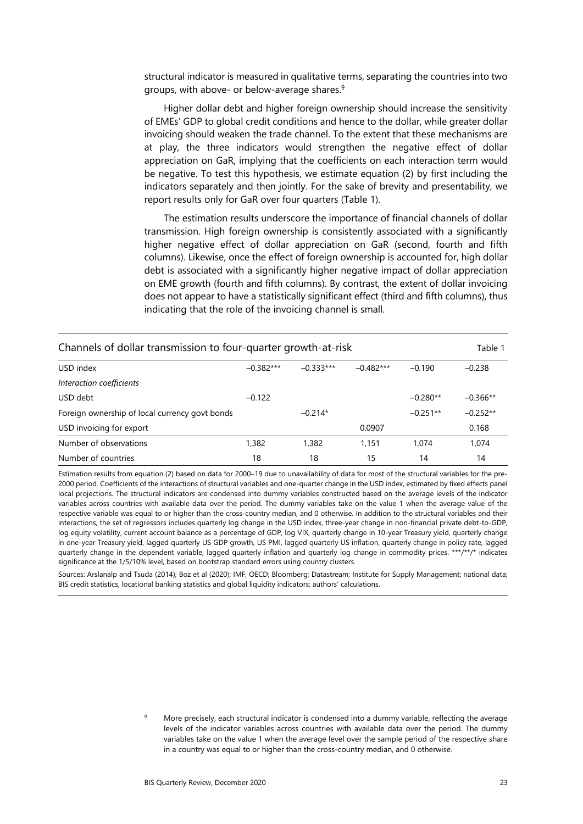structural indicator is measured in qualitative terms, separating the countries into two groups, with above- or below-average shares.[9](#page-10-0) 

Higher dollar debt and higher foreign ownership should increase the sensitivity of EMEs' GDP to global credit conditions and hence to the dollar, while greater dollar invoicing should weaken the trade channel. To the extent that these mechanisms are at play, the three indicators would strengthen the negative effect of dollar appreciation on GaR, implying that the coefficients on each interaction term would be negative. To test this hypothesis, we estimate equation (2) by first including the indicators separately and then jointly. For the sake of brevity and presentability, we report results only for GaR over four quarters (Table 1).

The estimation results underscore the importance of financial channels of dollar transmission. High foreign ownership is consistently associated with a significantly higher negative effect of dollar appreciation on GaR (second, fourth and fifth columns). Likewise, once the effect of foreign ownership is accounted for, high dollar debt is associated with a significantly higher negative impact of dollar appreciation on EME growth (fourth and fifth columns). By contrast, the extent of dollar invoicing does not appear to have a statistically significant effect (third and fifth columns), thus indicating that the role of the invoicing channel is small.

| Channels of dollar transmission to four-quarter growth-at-risk |             |             |             |            | Table 1    |
|----------------------------------------------------------------|-------------|-------------|-------------|------------|------------|
| USD index                                                      | $-0.382***$ | $-0.333***$ | $-0.482***$ | $-0.190$   | $-0.238$   |
| Interaction coefficients                                       |             |             |             |            |            |
| USD debt                                                       | $-0.122$    |             |             | $-0.280**$ | $-0.366**$ |
| Foreign ownership of local currency govt bonds                 |             | $-0.214*$   |             | $-0.251**$ | $-0.252**$ |
| USD invoicing for export                                       |             |             | 0.0907      |            | 0.168      |
| Number of observations                                         | 1,382       | 1,382       | 1.151       | 1.074      | 1,074      |
| Number of countries                                            | 18          | 18          | 15          | 14         | 14         |

Estimation results from equation (2) based on data for 2000–19 due to unavailability of data for most of the structural variables for the pre-2000 period. Coefficients of the interactions of structural variables and one-quarter change in the USD index, estimated by fixed effects panel local projections. The structural indicators are condensed into dummy variables constructed based on the average levels of the indicator variables across countries with available data over the period. The dummy variables take on the value 1 when the average value of the respective variable was equal to or higher than the cross-country median, and 0 otherwise. In addition to the structural variables and their interactions, the set of regressors includes quarterly log change in the USD index, three-year change in non-financial private debt-to-GDP, log equity volatility, current account balance as a percentage of GDP, log VIX, quarterly change in 10-year Treasury yield, quarterly change in one-year Treasury yield, lagged quarterly US GDP growth, US PMI, lagged quarterly US inflation, quarterly change in policy rate, lagged quarterly change in the dependent variable, lagged quarterly inflation and quarterly log change in commodity prices. \*\*\*/\*\*/\* indicates significance at the 1/5/10% level, based on bootstrap standard errors using country clusters.

Sources: Arslanalp and Tsuda (2014); Boz et al (2020); IMF; OECD; Bloomberg; Datastream; Institute for Supply Management; national data; BIS credit statistics, locational banking statistics and global liquidity indicators; authors' calculations.

> <span id="page-10-0"></span>9 More precisely, each structural indicator is condensed into a dummy variable, reflecting the average levels of the indicator variables across countries with available data over the period. The dummy variables take on the value 1 when the average level over the sample period of the respective share in a country was equal to or higher than the cross-country median, and 0 otherwise.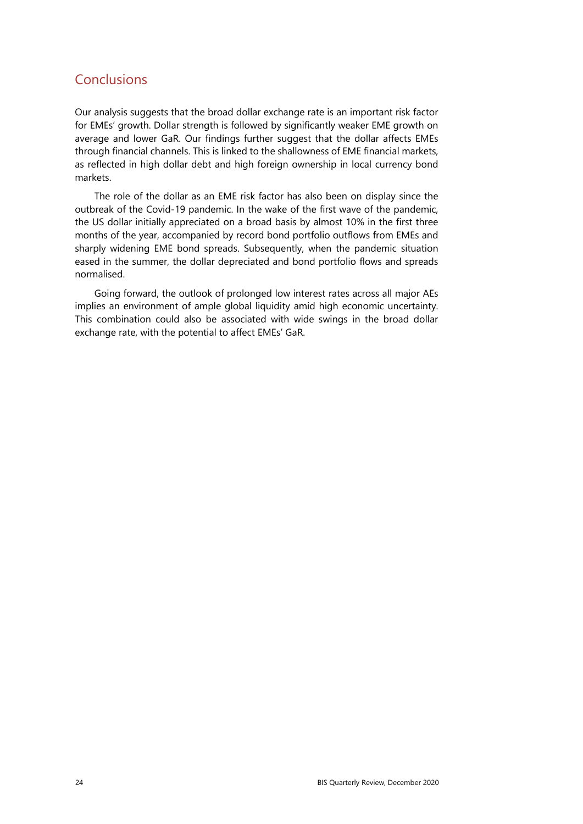## **Conclusions**

Our analysis suggests that the broad dollar exchange rate is an important risk factor for EMEs' growth. Dollar strength is followed by significantly weaker EME growth on average and lower GaR. Our findings further suggest that the dollar affects EMEs through financial channels. This is linked to the shallowness of EME financial markets, as reflected in high dollar debt and high foreign ownership in local currency bond markets.

The role of the dollar as an EME risk factor has also been on display since the outbreak of the Covid-19 pandemic. In the wake of the first wave of the pandemic, the US dollar initially appreciated on a broad basis by almost 10% in the first three months of the year, accompanied by record bond portfolio outflows from EMEs and sharply widening EME bond spreads. Subsequently, when the pandemic situation eased in the summer, the dollar depreciated and bond portfolio flows and spreads normalised.

Going forward, the outlook of prolonged low interest rates across all major AEs implies an environment of ample global liquidity amid high economic uncertainty. This combination could also be associated with wide swings in the broad dollar exchange rate, with the potential to affect EMEs' GaR.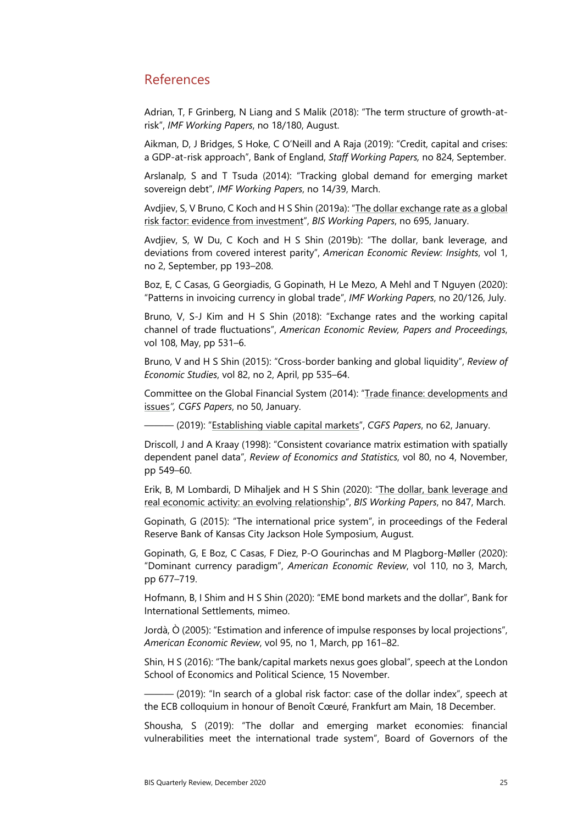## References

Adrian, T, F Grinberg, N Liang and S Malik (2018): "The term structure of growth-atrisk", *IMF Working Papers*, no 18/180, August.

Aikman, D, J Bridges, S Hoke, C O'Neill and A Raja (2019): "Credit, capital and crises: a GDP-at-risk approach", Bank of England, *Staff Working Papers,* no 824, September.

Arslanalp, S and T Tsuda (2014): "Tracking global demand for emerging market sovereign debt", *IMF Working Papers*, no 14/39, March.

Avdjiev, S, V Bruno, C Koch and H S Shin (2019a): ["The dollar exchange rate as a global](https://www.bis.org/publ/work695.htm)  [risk factor: evidence from investment"](https://www.bis.org/publ/work695.htm), *BIS Working Papers*, no 695, January.

Avdjiev, S, W Du, C Koch and H S Shin (2019b): "The dollar, bank leverage, and deviations from covered interest parity", *American Economic Review: Insights*, vol 1, no 2, September, pp 193–208.

Boz, E, [C Casas,](https://www.imf.org/en/Publications/Publications-By-Author?author=Camila++Casas&name=Camila%20%20Casas) [G Georgiadis,](https://www.imf.org/en/Publications/Publications-By-Author?author=Georgios++Georgiadis&name=Georgios%20%20Georgiadis) [G Gopinath,](https://www.imf.org/en/Publications/Publications-By-Author?author=Gita++Gopinath&name=Gita%20%20Gopinath) [H Le Mezo,](https://www.imf.org/en/Publications/Publications-By-Author?author=Helena++Le+Mezo&name=Helena%20%20Le%20Mezo) [A Mehl](https://www.imf.org/en/Publications/Publications-By-Author?author=Arnaud++Mehl&name=Arnaud%20%20Mehl) and [T Nguyen](https://www.imf.org/en/Publications/Publications-By-Author?author=Tra++Nguyen&name=Tra%20%20Nguyen) (2020): "Patterns in invoicing currency in global trade", *IMF Working Papers*, no 20/126, July.

Bruno, V, S-J Kim and H S Shin (2018): "Exchange rates and the working capital channel of trade fluctuations", *American Economic Review, Papers and Proceedings*, vol 108, May, pp 531–6.

Bruno, V and H S Shin (2015): "Cross-border banking and global liquidity", *Review of Economic Studies*, vol 82, no 2, April, pp 535–64.

Committee on the Global Financial System (2014): ["Trade finance: developments and](https://www.bis.org/publ/cgfs50.htm)  [issues](https://www.bis.org/publ/cgfs50.htm)*", CGFS Papers*, no 50, January.

——— (2019): ["Establishing viable capital markets"](https://www.bis.org/publ/cgfs50.htm), *CGFS Papers*, no 62, January.

Driscoll, J and A Kraay (1998): "Consistent covariance matrix estimation with spatially dependent panel data", *Review of Economics and Statistics*, vol 80, no 4, November, pp 549–60.

[Erik,](https://www.bis.org/author/burcu_erik.htm) B, [M Lombardi,](https://www.bis.org/author/marco_jacopo_lombardi.htm) [D Mihaljek](https://www.bis.org/author/dubravko_mihaljek.htm) and [H S Shin](https://www.bis.org/author/hyun_song_shin.htm) (2020): ["The dollar, bank leverage and](https://www.bis.org/publ/work847.htm)  [real economic activity: an evolving relationship"](https://www.bis.org/publ/work847.htm), *BIS Working Papers*, no 847, March.

Gopinath, G (2015): "The international price system", in proceedings of the Federal Reserve Bank of Kansas City Jackson Hole Symposium, August.

Gopinath, G, E Boz, C Casas, F Diez, P-O Gourinchas and M Plagborg-Møller (2020): "Dominant currency paradigm", *American Economic Review*, vol 110, no 3, March, pp 677–719.

Hofmann, B, I Shim and H S Shin (2020): "EME bond markets and the dollar", Bank for International Settlements, mimeo.

Jordà, Ò (2005): "Estimation and inference of impulse responses by local projections", *American Economic Review*, vol 95, no 1, March, pp 161–82.

Shin, H S (2016): "The bank/capital markets nexus goes global", speech at the London School of Economics and Political Science, 15 November.

- (2019): "In search of a global risk factor: case of the dollar index", speech at the ECB colloquium in honour of Benoît Cœuré, Frankfurt am Main, 18 December.

Shousha, S (2019): "The dollar and emerging market economies: financial vulnerabilities meet the international trade system", Board of Governors of the